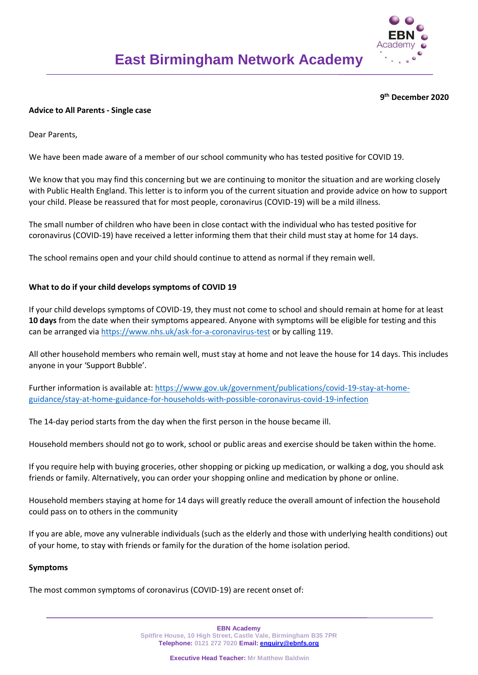

# **9 th December 2020**

#### **Advice to All Parents - Single case**

Dear Parents,

We have been made aware of a member of our school community who has tested positive for COVID 19.

We know that you may find this concerning but we are continuing to monitor the situation and are working closely with Public Health England. This letter is to inform you of the current situation and provide advice on how to support your child. Please be reassured that for most people, coronavirus (COVID-19) will be a mild illness.

The small number of children who have been in close contact with the individual who has tested positive for coronavirus (COVID-19) have received a letter informing them that their child must stay at home for 14 days.

The school remains open and your child should continue to attend as normal if they remain well.

# **What to do if your child develops symptoms of COVID 19**

If your child develops symptoms of COVID-19, they must not come to school and should remain at home for at least **10 days** from the date when their symptoms appeared. Anyone with symptoms will be eligible for testing and this can be arranged via<https://www.nhs.uk/ask-for-a-coronavirus-test> or by calling 119.

All other household members who remain well, must stay at home and not leave the house for 14 days. This includes anyone in your 'Support Bubble'.

Further information is available at: [https://www.gov.uk/government/publications/covid-19-stay-at-home](https://www.gov.uk/government/publications/covid-19-stay-at-home-guidance/stay-at-home-guidance-for-households-with-possible-coronavirus-covid-19-infection)[guidance/stay-at-home-guidance-for-households-with-possible-coronavirus-covid-19-infection](https://www.gov.uk/government/publications/covid-19-stay-at-home-guidance/stay-at-home-guidance-for-households-with-possible-coronavirus-covid-19-infection)

The 14-day period starts from the day when the first person in the house became ill.

Household members should not go to work, school or public areas and exercise should be taken within the home.

If you require help with buying groceries, other shopping or picking up medication, or walking a dog, you should ask friends or family. Alternatively, you can order your shopping online and medication by phone or online.

Household members staying at home for 14 days will greatly reduce the overall amount of infection the household could pass on to others in the community

If you are able, move any vulnerable individuals (such as the elderly and those with underlying health conditions) out of your home, to stay with friends or family for the duration of the home isolation period.

#### **Symptoms**

The most common symptoms of coronavirus (COVID-19) are recent onset of:

**EBN Academy Spitfire House, 10 High Street, Castle Vale, Birmingham B35 7PR Telephone: 0121 272 7020 Email: [enquiry@ebnfs.org](mailto:enquiry@ebnfs.org)**